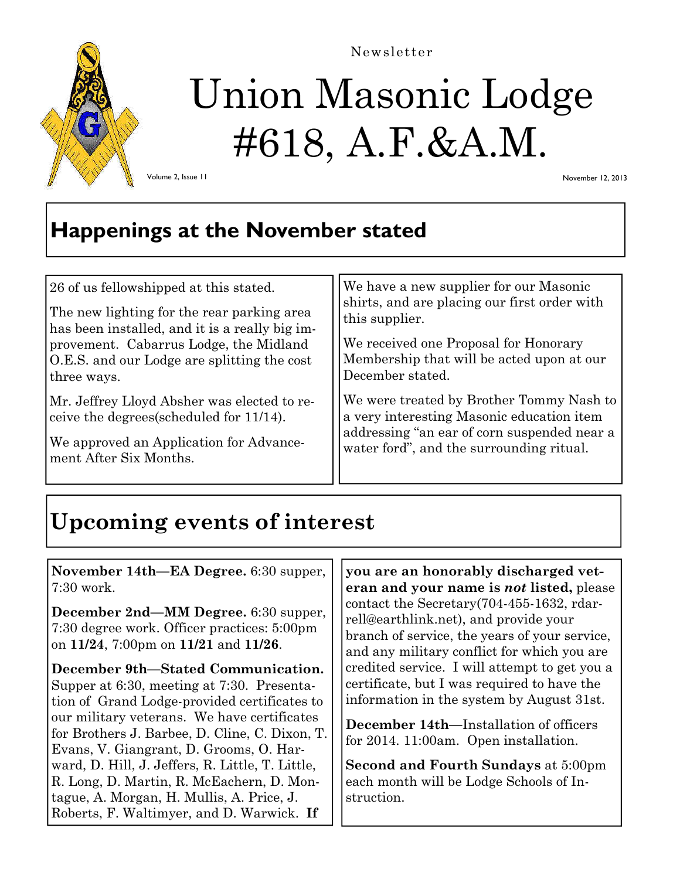

Newsletter

# Union Masonic Lodge #618, A.F.&A.M.

Volume 2, Issue 11

November 12, 2013

#### **Happenings at the November stated**

| 26 of us fellowshipped at this stated.         | We have a new supplier for our Masonic       |
|------------------------------------------------|----------------------------------------------|
| The new lighting for the rear parking area     | shirts, and are placing our first order with |
| has been installed, and it is a really big im- | this supplier.                               |
| provement. Cabarrus Lodge, the Midland         | We received one Proposal for Honorary        |
| O.E.S. and our Lodge are splitting the cost    | Membership that will be acted upon at our    |
| three ways.                                    | December stated.                             |
| Mr. Jeffrey Lloyd Absher was elected to re-    | We were treated by Brother Tommy Nash to     |
| ceive the degrees (scheduled for 11/14).       | a very interesting Masonic education item    |
| We approved an Application for Advance-        | addressing "an ear of corn suspended near a  |
| ment After Six Months.                         | water ford", and the surrounding ritual.     |

# **Upcoming events of interest**

**November 14th—EA Degree.** 6:30 supper, 7:30 work.

**December 2nd—MM Degree.** 6:30 supper, 7:30 degree work. Officer practices: 5:00pm on **11/24**, 7:00pm on **11/21** and **11/26**.

**December 9th—Stated Communication.**  Supper at 6:30, meeting at 7:30. Presentation of Grand Lodge-provided certificates to our military veterans. We have certificates for Brothers J. Barbee, D. Cline, C. Dixon, T. Evans, V. Giangrant, D. Grooms, O. Harward, D. Hill, J. Jeffers, R. Little, T. Little, R. Long, D. Martin, R. McEachern, D. Montague, A. Morgan, H. Mullis, A. Price, J. Roberts, F. Waltimyer, and D. Warwick. **If** 

**you are an honorably discharged veteran and your name is** *not* **listed,** please contact the Secretary(704-455-1632, rdarrell@earthlink.net), and provide your branch of service, the years of your service, and any military conflict for which you are credited service. I will attempt to get you a certificate, but I was required to have the information in the system by August 31st.

**December 14th—**Installation of officers for 2014. 11:00am. Open installation.

**Second and Fourth Sundays** at 5:00pm each month will be Lodge Schools of Instruction.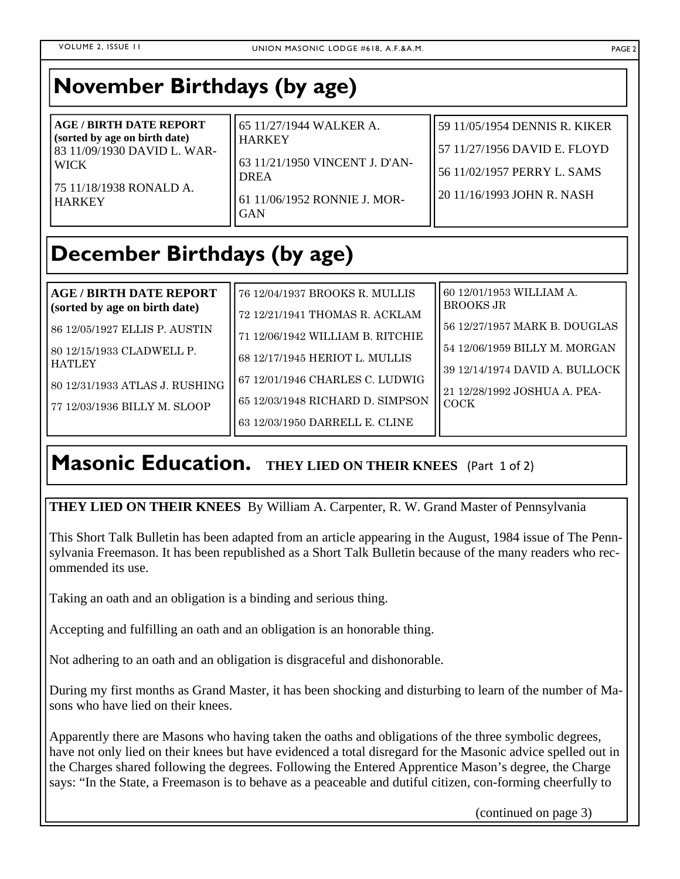#### **November Birthdays (by age)**

**AGE / BIRTH DATE REPORT (sorted by age on birth date)**  83 11/09/1930 DAVID L. WAR-**WICK** 

75 11/18/1938 RONALD A. **HARKEY** 

65 11/27/1944 WALKER A. **HARKEY** 63 11/21/1950 VINCENT J. D'AN-DREA 61 11/06/1952 RONNIE J. MOR-**GAN** 

59 11/05/1954 DENNIS R. KIKER 57 11/27/1956 DAVID E. FLOYD 56 11/02/1957 PERRY L. SAMS 20 11/16/1993 JOHN R. NASH

## **December Birthdays (by age)**

| <b>AGE / BIRTH DATE REPORT</b><br>(sorted by age on birth date) | 76 12/04/1937 BROOKS R. MULLIS                                     | 60 12/01/1953 WILLIAM A.<br>BROOKS JR       |
|-----------------------------------------------------------------|--------------------------------------------------------------------|---------------------------------------------|
| l 86 12/05/1927 ELLIS P. AUSTIN                                 | 72 12/21/1941 THOMAS R. ACKLAM<br>71 12/06/1942 WILLIAM B. RITCHIE | 56 12/27/1957 MARK B. DOUGLAS               |
| l 80 12/15/1933 CLADWELL P.                                     | 68 12/17/1945 HERIOT L. MULLIS                                     | 54 12/06/1959 BILLY M. MORGAN               |
| <b>HATLEY</b><br>80 12/31/1933 ATLAS J. RUSHING                 | 67 12/01/1946 CHARLES C. LUDWIG                                    | 39 12/14/1974 DAVID A. BULLOCK              |
| 77 12/03/1936 BILLY M. SLOOP                                    | 65 12/03/1948 RICHARD D. SIMPSON                                   | 21 12/28/1992 JOSHUA A. PEA-<br><b>COCK</b> |
|                                                                 | 63 12/03/1950 DARRELL E. CLINE                                     |                                             |

### **Masonic Education. THEY LIED ON THEIR KNEES** (Part <sup>1</sup> of 2)

**THEY LIED ON THEIR KNEES** By William A. Carpenter, R. W. Grand Master of Pennsylvania

This Short Talk Bulletin has been adapted from an article appearing in the August, 1984 issue of The Pennsylvania Freemason. It has been republished as a Short Talk Bulletin because of the many readers who recommended its use.

Taking an oath and an obligation is a binding and serious thing.

Accepting and fulfilling an oath and an obligation is an honorable thing.

Not adhering to an oath and an obligation is disgraceful and dishonorable.

During my first months as Grand Master, it has been shocking and disturbing to learn of the number of Masons who have lied on their knees.

Apparently there are Masons who having taken the oaths and obligations of the three symbolic degrees, have not only lied on their knees but have evidenced a total disregard for the Masonic advice spelled out in the Charges shared following the degrees. Following the Entered Apprentice Mason's degree, the Charge says: "In the State, a Freemason is to behave as a peaceable and dutiful citizen, con-forming cheerfully to

(continued on page 3)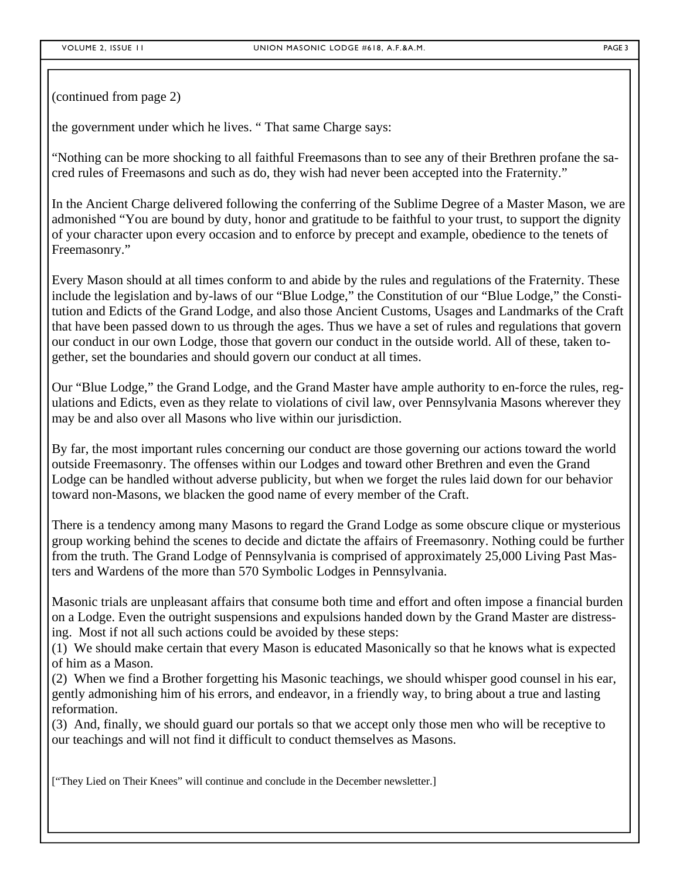(continued from page 2)

the government under which he lives. " That same Charge says:

"Nothing can be more shocking to all faithful Freemasons than to see any of their Brethren profane the sacred rules of Freemasons and such as do, they wish had never been accepted into the Fraternity."

In the Ancient Charge delivered following the conferring of the Sublime Degree of a Master Mason, we are admonished "You are bound by duty, honor and gratitude to be faithful to your trust, to support the dignity of your character upon every occasion and to enforce by precept and example, obedience to the tenets of Freemasonry."

Every Mason should at all times conform to and abide by the rules and regulations of the Fraternity. These include the legislation and by-laws of our "Blue Lodge," the Constitution of our "Blue Lodge," the Constitution and Edicts of the Grand Lodge, and also those Ancient Customs, Usages and Landmarks of the Craft that have been passed down to us through the ages. Thus we have a set of rules and regulations that govern our conduct in our own Lodge, those that govern our conduct in the outside world. All of these, taken together, set the boundaries and should govern our conduct at all times.

Our "Blue Lodge," the Grand Lodge, and the Grand Master have ample authority to en-force the rules, regulations and Edicts, even as they relate to violations of civil law, over Pennsylvania Masons wherever they may be and also over all Masons who live within our jurisdiction.

By far, the most important rules concerning our conduct are those governing our actions toward the world outside Freemasonry. The offenses within our Lodges and toward other Brethren and even the Grand Lodge can be handled without adverse publicity, but when we forget the rules laid down for our behavior toward non-Masons, we blacken the good name of every member of the Craft.

There is a tendency among many Masons to regard the Grand Lodge as some obscure clique or mysterious group working behind the scenes to decide and dictate the affairs of Freemasonry. Nothing could be further from the truth. The Grand Lodge of Pennsylvania is comprised of approximately 25,000 Living Past Masters and Wardens of the more than 570 Symbolic Lodges in Pennsylvania.

Masonic trials are unpleasant affairs that consume both time and effort and often impose a financial burden on a Lodge. Even the outright suspensions and expulsions handed down by the Grand Master are distressing. Most if not all such actions could be avoided by these steps:

(1) We should make certain that every Mason is educated Masonically so that he knows what is expected of him as a Mason.

(2) When we find a Brother forgetting his Masonic teachings, we should whisper good counsel in his ear, gently admonishing him of his errors, and endeavor, in a friendly way, to bring about a true and lasting reformation.

(3) And, finally, we should guard our portals so that we accept only those men who will be receptive to our teachings and will not find it difficult to conduct themselves as Masons.

["They Lied on Their Knees" will continue and conclude in the December newsletter.]